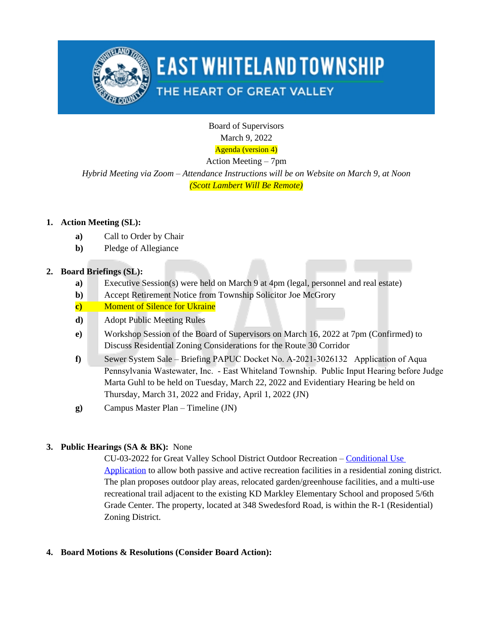

## **EAST WHITELAND TOWNSHIP**

## THE HEART OF GREAT VALLEY

Board of Supervisors March 9, 2022 Agenda (version 4)

Action Meeting – 7pm

*Hybrid Meeting via Zoom – Attendance Instructions will be on Website on March 9, at Noon (Scott Lambert Will Be Remote)*

### **1. Action Meeting (SL):**

- **a)** Call to Order by Chair
- **b)** Pledge of Allegiance

### **2. Board Briefings (SL):**

- **a)** Executive Session(s) were held on March 9 at 4pm (legal, personnel and real estate)
- **b)** Accept Retirement Notice from Township Solicitor Joe McGrory
- **c)** Moment of Silence for Ukraine
- **d)** Adopt Public Meeting Rules
- **e)** Workshop Session of the Board of Supervisors on March 16, 2022 at 7pm (Confirmed) to Discuss Residential Zoning Considerations for the Route 30 Corridor
- **f)** Sewer System Sale Briefing PAPUC Docket No. A-2021-3026132 Application of Aqua Pennsylvania Wastewater, Inc. - East Whiteland Township. Public Input Hearing before Judge Marta Guhl to be held on Tuesday, March 22, 2022 and Evidentiary Hearing be held on Thursday, March 31, 2022 and Friday, April 1, 2022 (JN)
- **g)** Campus Master Plan Timeline (JN)

## **3. Public Hearings (SA & BK):** None

CU-03-2022 for Great Valley School District Outdoor Recreation – [Conditional Use](https://www.eastwhiteland.org/DocumentCenter/Index/315)  Application to allow both passive and active recreation facilities in a residential zoning district. The plan proposes outdoor play areas, relocated garden/greenhouse facilities, and a multi-use recreational trail adjacent to the existing KD Markley Elementary School and proposed 5/6th Grade Center. The property, located at 348 Swedesford Road, is within the R-1 (Residential) Zoning District.

#### **4. Board Motions & Resolutions (Consider Board Action):**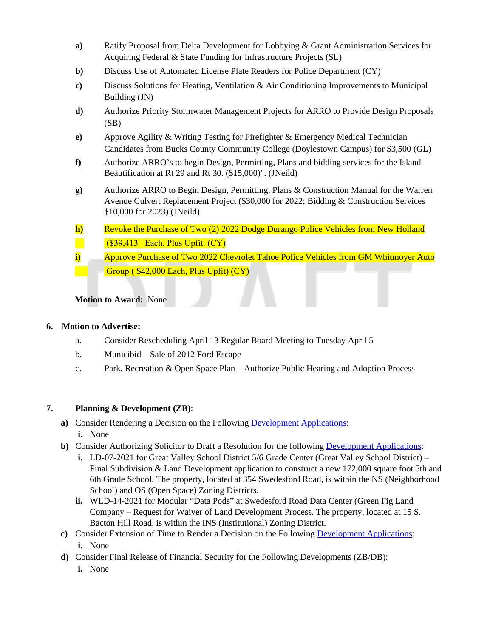- **a)** Ratify Proposal from Delta Development for Lobbying & Grant Administration Services for Acquiring Federal & State Funding for Infrastructure Projects (SL)
- **b)** Discuss Use of Automated License Plate Readers for Police Department (CY)
- **c)** Discuss Solutions for Heating, Ventilation & Air Conditioning Improvements to Municipal Building (JN)
- **d)** Authorize Priority Stormwater Management Projects for ARRO to Provide Design Proposals (SB)
- **e)** Approve Agility & Writing Testing for Firefighter & Emergency Medical Technician Candidates from Bucks County Community College (Doylestown Campus) for \$3,500 (GL)
- **f)** Authorize ARRO's to begin Design, Permitting, Plans and bidding services for the Island Beautification at Rt 29 and Rt 30. (\$15,000)". (JNeild)
- **g)** Authorize ARRO to Begin Design, Permitting, Plans & Construction Manual for the Warren Avenue Culvert Replacement Project (\$30,000 for 2022; Bidding & Construction Services \$10,000 for 2023) (JNeild)
- **h)** Revoke the Purchase of Two (2) 2022 Dodge Durango Police Vehicles from New Holland  (\$39,413 Each, Plus Upfit. (CY)
- **i)** Approve Purchase of Two 2022 Chevrolet Tahoe Police Vehicles from GM Whitmoyer Auto Group ( \$42,000 Each, Plus Upfit) (CY)

**Motion to Award:** None

#### **6. Motion to Advertise:**

- a. Consider Rescheduling April 13 Regular Board Meeting to Tuesday April 5
- b. Municibid Sale of 2012 Ford Escape
- c. Park, Recreation & Open Space Plan Authorize Public Hearing and Adoption Process

#### **7. Planning & Development (ZB)**:

- **a)** Consider Rendering a Decision on the Following [Development Applications](https://www.eastwhiteland.org/305/Land-Developments): **i.** None
- **b)** Consider Authorizing Solicitor to Draft a Resolution for the following [Development Applications](https://www.eastwhiteland.org/305/Land-Developments):
	- **i.** LD-07-2021 for Great Valley School District 5/6 Grade Center (Great Valley School District) Final Subdivision & Land Development application to construct a new 172,000 square foot 5th and 6th Grade School. The property, located at 354 Swedesford Road, is within the NS (Neighborhood School) and OS (Open Space) Zoning Districts.
	- **ii.** WLD-14-2021 for Modular "Data Pods" at Swedesford Road Data Center (Green Fig Land Company – Request for Waiver of Land Development Process. The property, located at 15 S. Bacton Hill Road, is within the INS (Institutional) Zoning District.
- **c)** Consider Extension of Time to Render a Decision on the Following [Development Applications](https://www.eastwhiteland.org/305/Land-Developments): **i.** None
- **d)** Consider Final Release of Financial Security for the Following Developments (ZB/DB):
	- **i.** None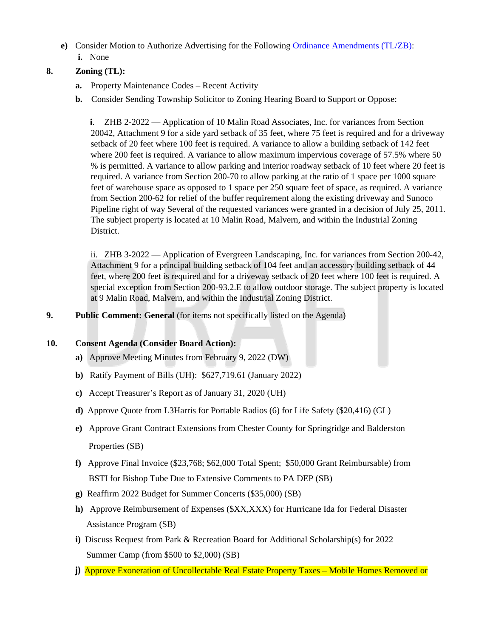**e)** Consider Motion to Authorize Advertising for the Following [Ordinance Amendments \(TL/ZB\):](https://www.eastwhiteland.org/308/ProposedRecently-Adopted-Ordinances) **i.** None

#### **8. Zoning (TL):**

- **a.** Property Maintenance Codes Recent Activity
- **b.** Consider Sending Township Solicitor to Zoning Hearing Board to Support or Oppose:

ZHB 2-2022 — Application of 10 Malin Road Associates, Inc. for variances from Section 20042, Attachment 9 for a side yard setback of 35 feet, where 75 feet is required and for a driveway setback of 20 feet where 100 feet is required. A variance to allow a building setback of 142 feet where 200 feet is required. A variance to allow maximum impervious coverage of 57.5% where 50 % is permitted. A variance to allow parking and interior roadway setback of 10 feet where 20 feet is required. A variance from Section 200-70 to allow parking at the ratio of 1 space per 1000 square feet of warehouse space as opposed to 1 space per 250 square feet of space, as required. A variance from Section 200-62 for relief of the buffer requirement along the existing driveway and Sunoco Pipeline right of way Several of the requested variances were granted in a decision of July 25, 2011. The subject property is located at 10 Malin Road, Malvern, and within the Industrial Zoning District.

ii. ZHB 3-2022 — Application of Evergreen Landscaping, Inc. for variances from Section 200-42, Attachment 9 for a principal building setback of 104 feet and an accessory building setback of 44 feet, where 200 feet is required and for a driveway setback of 20 feet where 100 feet is required. A special exception from Section 200-93.2.E to allow outdoor storage. The subject property is located at 9 Malin Road, Malvern, and within the Industrial Zoning District.

#### **9. Public Comment: General** (for items not specifically listed on the Agenda)

#### **10. Consent Agenda (Consider Board Action):**

- **a)** Approve Meeting Minutes from February 9, 2022 (DW)
- **b)** Ratify Payment of Bills (UH): \$627,719.61 (January 2022)
- **c)** Accept Treasurer's Report as of January 31, 2020 (UH)
- **d)** Approve Quote from L3Harris for Portable Radios (6) for Life Safety (\$20,416) (GL)
- **e)** Approve Grant Contract Extensions from Chester County for Springridge and Balderston Properties (SB)
- **f)** Approve Final Invoice (\$23,768; \$62,000 Total Spent; \$50,000 Grant Reimbursable) from BSTI for Bishop Tube Due to Extensive Comments to PA DEP (SB)
- **g)** Reaffirm 2022 Budget for Summer Concerts (\$35,000) (SB)
- **h)** Approve Reimbursement of Expenses (\$XX,XXX) for Hurricane Ida for Federal Disaster Assistance Program (SB)
- **i)** Discuss Request from Park & Recreation Board for Additional Scholarship(s) for 2022 Summer Camp (from \$500 to \$2,000) (SB)
- **j)** Approve Exoneration of Uncollectable Real Estate Property Taxes Mobile Homes Removed or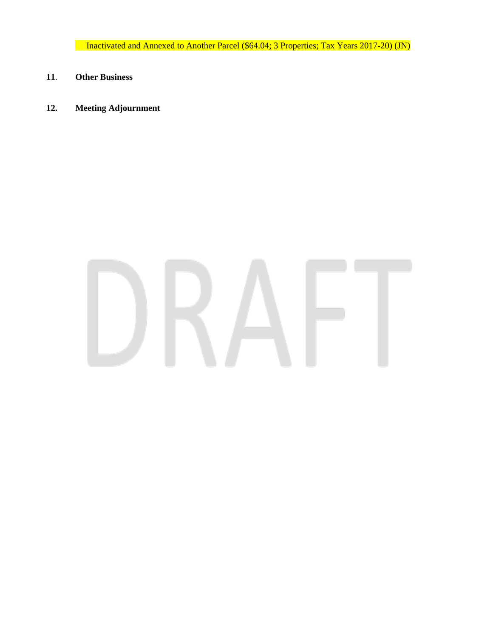Inactivated and Annexed to Another Parcel (\$64.04; 3 Properties; Tax Years 2017-20) (JN)

- **11**. **Other Business**
- **12. Meeting Adjournment**